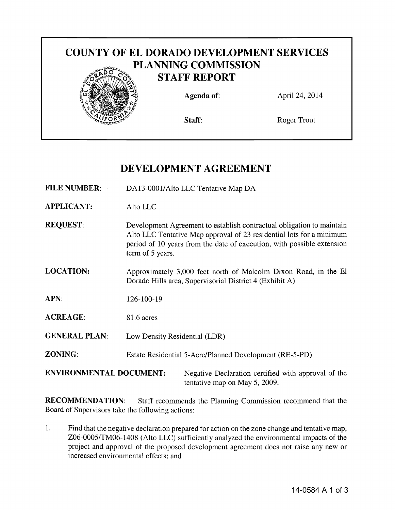

# DEVELOPMENT AGREEMENT

- FILE NUMBER: DA13-0001/Alto LLC Tentative Map DA
- APPLICANT: Alto LLC
- REQUEST: Development Agreement to establish contractual obligation to maintain Alto LLC Tentative Map approval of 23 residential lots for a minimum period of 10 years from the date of execution, with possible extension term of 5 years.
- LOCATION: Approximately 3,000 feet north of Malcolm Dixon Road, in the EI Dorado Hills area, Supervisorial District 4 (Exhibit A)
- APN: 126-100-19
- ACREAGE: 81.6 acres
- GENERAL PLAN: Low Density Residential (LDR)
- ZONING: Estate Residential 5-Acre/Planned Development (RE-5-PD)

ENVIRONMENTAL DOCUMENT: Negative Declaration certified with approval of the tentative map on May 5, 2009.

RECOMMENDATION: Staff recommends the Planning Commission recommend that the Board of Supervisors take the following actions:

1. Find that the negative declaration prepared for action on the zone change and tentative map, Z06-0005/TM06-1408 (Alto LLC) sufficiently analyzed the environmental impacts of the project and approval of the proposed development agreement does not raise any new or increased environmental effects; and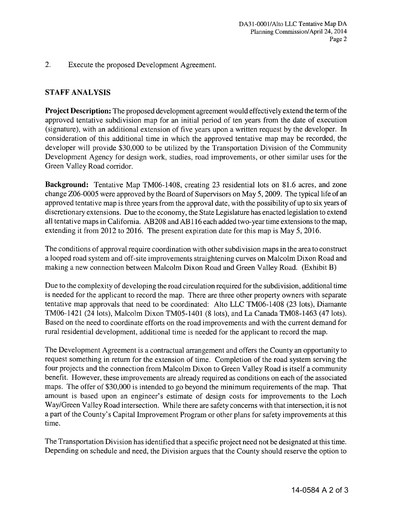2. Execute the proposed Development Agreement.

### **STAFF ANALYSIS**

**Project Description:** The proposed development agreement would effectively extend the term of the approved tentative subdivision map for an initial period of ten years from the date of execution (signature), with an additional extension of five years upon a written request by the developer. **In** consideration of this additional time in which the approved tentative map may be recorded, the developer will provide \$30,000 to be utilized by the Transportation Division of the Community Development Agency for design work, studies, road improvements, or other similar uses for the Green Valley Road corridor.

**Background:** Tentative Map TM06-l408, creating 23 residential lots on 81.6 acres, and zone change Z06-0005 were approved by the Board of Supervisors on May 5,2009. The typical life of an approved tentative map is three years from the approval date, with the possibility of up to six years of discretionary extensions. Due to the economy, the State Legislature has enacted legislation to extend all tentative maps in California. AB208 and AB116 each added two-year time extensions to the map, extending it from 2012 to 2016. The present expiration date for this map is May 5, 2016.

The conditions of approval require coordination with other subdivision maps in the area to construct a looped road system and off-site improvements straightening curves on Malcolm Dixon Road and making a new connection between Malcolm Dixon Road and Green Valley Road. (Exhibit B)

Due to the complexity of developing the road circulation required for the subdivision, additional time is needed for the applicant to record the map. There are three other property owners with separate tentative map approvals that need to be coordinated: Alto LLC TM06-1408 (23 lots), Diamante TM06-1421 (24 lots), Malcolm Dixon TM05-1401 (8 lots), and La Canada TM08-1463 (47 lots). Based on the need to coordinate efforts on the road improvements and with the current demand for rural residential development, additional time is needed for the applicant to record the map.

The Development Agreement is a contractual arrangement and offers the County an opportunity to request something in return for the extension of time. Completion of the road system serving the four projects and the connection from Malcolm Dixon to Green Valley Road is itself a community benefit. However, these improvements are already required as conditions on each of the associated maps. The offer of \$30,000 is intended to go beyond the minimum requirements of the map. That amount is based upon an engineer's estimate of design costs for improvements to the Loch Way/Green Valley Road intersection. While there are safety concerns with that intersection, it is not a part of the County's Capital Improvement Program or other plans for safety improvements at this time.

The Transportation Division has identified that a specific project need not be designated at this time. Depending on schedule and need, the Division argues that the County should reserve the option to